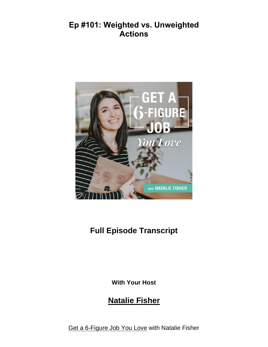## **Ep #101: Weighted vs. Unweighted Actions**



## **Full Episode Transcript**

**With Your Host**

## **Natalie Fisher**

Get a [6-Figure](http://nataliefisher.ca/podcast/) Job You Love with Natalie Fisher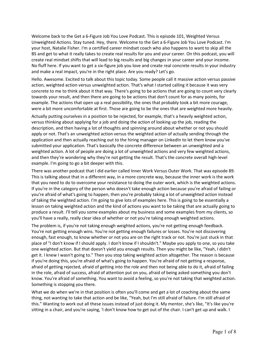Welcome back to the Get a 6-Figure Job You Love Podcast. This is episode 101, Weighted Versus Unweighted Actions. Stay tuned. Hey, there. Welcome to the Get a 6-Figure Job You Love Podcast. I'm your host, Natalie Fisher. I'm a certified career mindset coach who also happens to want to skip all the BS and get to what it really takes to create real results for you and your career. On this podcast, you will create real mindset shifts that will lead to big results and big changes in your career and your income. No fluff here. If you want to get a six-figure job you love and create real concrete results in your industry and make a real impact, you're in the right place. Are you ready? Let's go.

Hello. Awesome. Excited to talk about this topic today. Some people call it massive action versus passive action, weighted action versus unweighted action. That's what I started calling it because it was very concrete to me to think about it that way. There's going to be actions that are going to count very clearly towards your result, and then there are going to be actions that don't count for as many points, for example. The actions that open up a real possibility, the ones that probably took a bit more courage, were a bit more uncomfortable at first. Those are going to be the ones that are weighted more heavily.

Actually putting ourselves in a position to be rejected, for example, that's a heavily weighted action, versus thinking about applying for a job and doing the action of looking up the job, reading the description, and then having a lot of thoughts and spinning around about whether or not you should apply or not. That's an unweighted action versus the weighted action of actually sending through the application and then actually reaching out to the hiring manager on LinkedIn to let them know you've submitted your application. That's basically the concrete difference between an unweighted and a weighted action. A lot of people are doing a lot of unweighted actions and very few weighted actions, and then they're wondering why they're not getting the result. That's the concrete overall high-level example. I'm going to go a bit deeper with this.

There was another podcast that I did earlier called Inner Work Versus Outer Work. That was episode 89. This is talking about that in a different way, in a more concrete way, because the inner work is the work that you need to do to overcome your resistance to doing the outer work, which is the weighted actions. If you're in the category of the person who doesn't take enough action because you're afraid of failing or you're afraid of what's going to happen, then you're probably taking a lot of unweighted action instead of taking the weighted action. I'm going to give lots of examples here. This is going to be essentially a lesson on taking weighted action and the kind of actions you want to be taking that are actually going to produce a result. I'll tell you some examples about my business and some examples from my clients, so you'll have a really, really clear idea of whether or not you're taking enough weighted actions.

The problem is, if you're not taking enough weighted actions, you're not getting enough feedback. You're not getting enough wins. You're not getting enough failures or losses. You're not discovering enough, fast enough, to know whether or not you are on the right track or not. You're just stuck in that place of "I don't know if I should apply. I don't know if I shouldn't." Maybe you apply to one, so you take one weighted action. But that doesn't yield you enough results. Then you might be like, "Yeah, I didn't get it. I knew I wasn't going to." Then you stop taking weighted action altogether. The reason is because if you're doing this, you're afraid of what's going to happen. You're afraid of not getting a response, afraid of getting rejected, afraid of getting into the role and then not being able to do it, afraid of failing in the role, afraid of success, afraid of attention put on you, afraid of being asked something you don't know. You're afraid of something. You want to avoid a feeling, so you're not taking that weighted action. Something is stopping you there.

What we do when we're in that position is often you'll come and get a lot of coaching about the same thing, not wanting to take that action and be like, "Yeah, but I'm still afraid of failure. I'm still afraid of this." Wanting to work out all these issues instead of just doing it. My mentor, she's like, "It's like you're sitting in a chair, and you're saying, 'I don't know how to get out of the chair. I can't get up and walk. I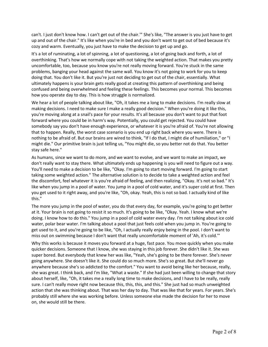can't. I just don't know how. I can't get out of the chair.'" She's like, "The answer is you just have to get up and out of the chair." It's like when you're in bed and you don't want to get out of bed because it's cozy and warm. Eventually, you just have to make the decision to get up and go.

It's a lot of ruminating, a lot of spinning, a lot of questioning, a lot of going back and forth, a lot of overthinking. That's how we normally cope with not taking the weighted action. That makes you pretty uncomfortable, too, because you know you're not really moving forward. You're stuck in the same problems, banging your head against the same wall. You know it's not going to work for you to keep doing that. You don't like it. But you're just not deciding to get out of the chair, essentially. What ultimately happens is your brain gets really good at creating this pattern of overthinking and being confused and being overwhelmed and feeling these feelings. This becomes your normal. This becomes how you operate day to day. This is how struggle is normalized.

We hear a lot of people talking about like, "Oh, it takes me a long to make decisions. I'm really slow at making decisions. I need to make sure I make a really good decision." When you're doing it like this, you're moving along at a snail's pace for your results. It's all because you don't want to put that foot forward where you could be in harm's way. Potentially, you could get rejected. You could have somebody say you don't have enough experience, or whatever it is you're afraid of. You're not allowing that to happen. Really, the worst case scenario is you end up right back where you were. There is nothing to be afraid of. But our brains are wired to think, "If I do that, I might die of humiliation," or "I might die." Our primitive brain is just telling us, "You might die, so you better not do that. You better stay safe here."

As humans, since we want to do more, and we want to evolve, and we want to make an impact, we don't really want to stay there. What ultimately ends up happening is you will need to figure out a way. You'll need to make a decision to be like, "Okay. I'm going to start moving forward. I'm going to start taking some weighted action." The alternative solution is to decide to take a weighted action and feel the discomfort, feel whatever it is you're afraid of feeling, and then realizing, "Okay. It's not so bad." It's like when you jump in a pool of water. You jump in a pool of cold water, and it's super cold at first. Then you get used to it right away, and you're like, "Oh, okay. Yeah, this is not so bad. I actually kind of like this."

The more you jump in the pool of water, you do that every day, for example, you're going to get better at it. Your brain is not going to resist it so much. It's going to be like, "Okay. Yeah. I know what we're doing. I know how to do this." You jump in a pool of cold water every day. I'm not talking about ice cold water, polar bear water. I'm talking about a pool that just feels cold when you jump in. You're going to get used to it, and you're going to be like, "Oh, I actually really enjoy being in the pool. I don't want to miss out on swimming because I don't want that really uncomfortable moment of 'Ah, it's cold.'"

Why this works is because it moves you forward at a huge, fast pace. You move quickly when you make quicker decisions. Someone that I know, she was staying in this job forever. She didn't like it. She was super bored. But everybody that knew her was like, "Yeah, she's going to be there forever. She's never going anywhere. She doesn't like it. She could do so much more. She's so great. But she'll never go anywhere because she's so addicted to the comfort." You want to avoid being like her because, really, she was great. I think back, and I'm like, "What a waste." If she had just been willing to change that story about herself, like, "Oh, it takes me a really long time to make decisions, and I have to be really, really sure. I can't really move right now because this, this, this, and this." She just had so much unweighted action that she was thinking about. That was her day to day. That was like that for years. For years. She's probably still where she was working before. Unless someone else made the decision for her to move on, she would still be there.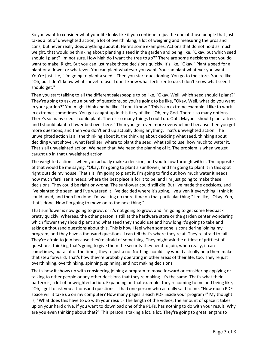So you want to consider what your life looks like if you continue to just be one of those people that just takes a lot of unweighted action, a lot of overthinking, a lot of weighing and measuring the pros and cons, but never really does anything about it. Here's some examples. Actions that do not hold as much weight, that would be thinking about planting a seed in the garden and being like, "Okay, but which seed should I plant? I'm not sure. How high do I want the tree to go?" There are some decisions that you do want to make. Right. But you can just make those decisions quickly. It's like, "Okay." Plant a seed for a plant or a flower or whatever. You can plant whatever you want. You can plant whatever you want. You're just like, "I'm going to plant a seed." Then you start questioning. You go to the store. You're like, "Oh, but I don't know what shovel to use. I don't know what fertilizer to use. I don't know what seed I should get."

Then you start talking to all the different salespeople to be like, "Okay. Well, which seed should I plant?" They're going to ask you a bunch of questions, so you're going to be like, "Okay. Well, what do you want in your garden?" You might think and be like, "I don't know." This is an extreme example. I like to work in extremes sometimes. You get caught up in this tizzy of like, "Oh, my God. There's so many options. There's so many seeds I could plant. There's so many things I could do. Ooh. Maybe I should plant a tree, and I should plant a flower bed over here." Then you get even more overwhelmed because then you got more questions, and then you don't end up actually doing anything. That's unweighted action. The unweighted action is all the thinking about it, the thinking about deciding what seed, thinking about deciding what shovel, what fertilizer, where to plant the seed, what soil to use, how much to water it. That's all unweighted action. We need that. We need the planning of it. The problem is when we get caught up in that unweighted action.

The weighted action is when you actually make a decision, and you follow through with it. The opposite of that would be me saying, "Okay. I'm going to plant a sunflower, and I'm going to plant it in this spot right outside my house. That's it. I'm going to plant it. I'm going to find out how much water it needs, how much fertilizer it needs, where the best place is for it to be, and I'm just going to make these decisions. They could be right or wrong. The sunflower could still die. But I've made the decisions, and I've planted the seed, and I've watered it. I've decided where it's going. I've given it everything I think it could need, and then I'm done. I'm wasting no more time on that particular thing." I'm like, "Okay. Yep, that's done. Now I'm going to move on to the next thing."

That sunflower is now going to grow, or it's not going to grow, and I'm going to get some feedback pretty quickly. Whereas, the other person is still at the hardware store or the garden center wondering which flower they should plant and what seed they should use and how long it's going to take and asking a thousand questions about this. This is how I feel when someone is considering joining my program, and they have a thousand questions. I can tell that's where they're at. They're afraid to fail. They're afraid to join because they're afraid of something. They might ask the nittiest of grittiest of questions, thinking that's going to give them the security they need to join, when really, it can sometimes, but a lot of the times, they're just a no. Nothing I could say would actually help them make that step forward. That's how they're probably operating in other areas of their life, too. They're just overthinking, overthinking, spinning, spinning, and not making decisions.

That's how it shows up with considering joining a program to move forward or considering applying or talking to other people or any other decisions that they're making. It's the same. That's what their pattern is, a lot of unweighted action. Expanding on that example, they're coming to me and being like, "Oh, I got to ask you a thousand questions." I had one person who actually said to me, "How much PDF space will it take up on my computer? How many pages is each PDF inside your program?" My thought is, "What does this have to do with your result? The length of the videos, the amount of space it takes up on your hard drive, if you want to download one of the PDFs, has nothing to do with your result. Why are you even thinking about that?" This person is taking a lot, a lot. They're going to great lengths to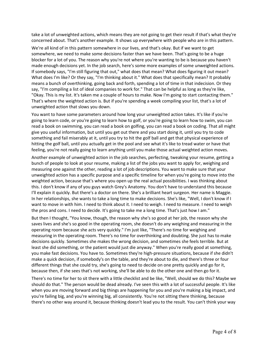take a lot of unweighted actions, which means they are not going to get their result if that's what they're concerned about. That's another example. It shows up everywhere with people who are in this pattern.

We're all kind of in this pattern somewhere in our lives, and that's okay. But if we want to get somewhere, we need to make some decisions faster than we have been. That's going to be a huge blocker for a lot of you. The reason why you're not where you're wanting to be is because you haven't made enough decisions yet. In the job search, here's some more examples of some unweighted actions. If somebody says, "I'm still figuring that out," what does that mean? What does figuring it out mean? What does I'm like? Or they say, "I'm thinking about it." What does that specifically mean? It probably means a bunch of overthinking, going back and forth, spending a lot of time in that indecision. Or they say, "I'm compiling a list of ideal companies to work for." That can be helpful as long as they're like, "Okay. This is my list. It's taken me a couple of hours to make. Now I'm going to start contacting them." That's where the weighted action is. But if you're spending a week compiling your list, that's a lot of unweighted action that slows you down.

You want to have some parameters around how long your unweighted action takes. It's like if you're going to learn code, or you're going to learn how to golf, or you're going to learn how to swim, you can read a book on swimming, you can read a book on golfing, you can read a book on coding. That all might give you useful information, but until you get out there and you start doing it, until you try to code something and fail miserably at it, until you try to hit the golf ball and get that physical experience of hitting the golf ball, until you actually get in the pool and see what it's like to tread water or have that feeling, you're not really going to learn anything until you make those actual weighted action moves.

Another example of unweighted action in the job searches, perfecting, tweaking your resume, getting a bunch of people to look at your resume, making a list of the jobs you want to apply for, weighing and measuring one against the other, reading a lot of job descriptions. You want to make sure that your unweighted action has a specific purpose and a specific timeline for when you're going to move into the weighted action, because that's where you open up the real actual possibilities. I was thinking about this. I don't know if any of you guys watch Grey's Anatomy. You don't have to understand this because I'll explain it quickly. But there's a doctor on there. She's a brilliant heart surgeon. Her name is Maggie. In her relationships, she wants to take a long time to make decisions. She's like, "Well, I don't know if I want to move in with him. I need to think about it. I need to weigh. I need to measure. I need to weigh the pros and cons. I need to decide. It's going to take me a long time. That's just how I am."

But then I thought, "You know, though, the reason why she's so good at her job, the reason why she saves lives and she's so good in the operating room, she doesn't do any weighing and measuring in the operating room because she acts very quickly." I'm just like, "There's no time for weighing and measuring in the operating room. There's no time for overthinking and doubting. She just has to make decisions quickly. Sometimes she makes the wrong decision, and sometimes she feels terrible. But at least she did something, or the patient would just die anyway." When you're really good at something, you make fast decisions. You have to. Sometimes they're high-pressure situations, because if she didn't make a quick decision, if somebody's on the table, and they're about to die, and there's three or four different things that she could try, she's going to need to decide on one pretty quickly and go for it, because then, if she sees that's not working, she'll be able to do the other one and then go for it.

There's no time for her to sit there with a little checklist and be like, "Well, should we do this? Maybe we should do that." The person would be dead already. I've seen this with a lot of successful people. It's like when you are moving forward and big things are happening for you and you're making a big impact, and you're failing big, and you're winning big, all consistently. You're not sitting there thinking, because there's no other way around it, because thinking doesn't lead you to the result. You can't think your way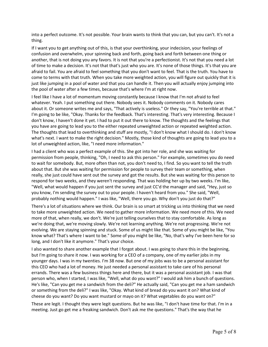into a perfect outcome. It's not possible. Your brain wants to think that you can, but you can't. It's not a thing.

If I want you to get anything out of this, is that your overthinking, your indecision, your feelings of confusion and overwhelm, your spinning back and forth, going back and forth between one thing or another, that is not doing you any favors. It is not that you're a perfectionist. It's not that you need a lot of time to make a decision. It's not that that's just who you are. It's none of those things. It's that you are afraid to fail. You are afraid to feel something that you don't want to feel. That is the truth. You have to come to terms with that truth. When you take more weighted action, you will figure out quickly that it is just like jumping in a pool of water and that you can handle it. Then you will actually enjoy jumping into the pool of water after a few times, because that's where I'm at right now.

I feel like I have a lot of momentum moving constantly because I know that I'm not afraid to feel whatever. Yeah. I put something out there. Nobody sees it. Nobody comments on it. Nobody cares about it. Or someone writes me and says, "That actively is useless." Or they say, "You're terrible at that." I'm going to be like, "Okay. Thanks for the feedback. That's interesting. That's very interesting. Because I don't know, I haven't done it yet. I had to put it out there to know. The thoughts and the feelings that you have are going to lead you to the either repeated unweighted action or repeated weighted action. The thoughts that lead to overthinking and stuff are mostly, "I don't know what I should do. I don't know what's next. I want to make the right decision." Mostly, those kind of thoughts are going to lead you to a lot of unweighted action, like, "I need more information."

I had a client who was a perfect example of this. She got into her role, and she was waiting for permission from people, thinking, "Oh, I need to ask this person." For example, sometimes you do need to wait for somebody. But, more often than not, you don't need to, I find. So you want to tell the truth about that. But she was waiting for permission for people to survey their team or something, when really, she just could have sent out the survey and got the results. But she was waiting for this person to respond for two weeks, and they weren't responding. That was holding her up by two weeks. I'm like, "Well, what would happen if you just sent the survey and just CC'd the manager and said, "Hey, just so you know, I'm sending the survey out to your people. I haven't heard from you." She said, "Well, probably nothing would happen." I was like, "Well, there you go. Why don't you just do that?"

There's a lot of situations where we think. Our brain is so smart at tricking us into thinking that we need to take more unweighted action. We need to gather more information. We need more of this. We need more of that, when really, we don't. We're just telling ourselves that to stay comfortable. As long as we're doing that, we're moving slowly. We're not learning anything. We're not progressing. We're not evolving. We are staying spinning and stuck. Some of us might like that. Some of you might be like, "You know what? That's where I want to be." Some of you might be like, "No, that's why I've been here for so long, and I don't like it anymore." That's your choice.

I also wanted to share another example that I forgot about. I was going to share this in the beginning, but I'm going to share it now. I was working for a CEO of a company, one of my earlier jobs in my younger days. I was in my twenties. I'm 38 now. But one of my jobs was to be a personal assistant for this CEO who had a lot of money. He just needed a personal assistant to take care of his personal errands. There was a few business things here and there, but it was a personal assistant job. I was that person who, when I started, I was like, "Well, what do you want?" I would ask him a bunch of questions. He's like, "Can you get me a sandwich from the deli?" He actually said, "Can you get me a ham sandwich or something from the deli?" I was like, "Okay. What kind of bread do you want it on? What kind of cheese do you want? Do you want mustard or mayo on it? What vegetables do you want on?"

These are legit. I thought they were legit questions. But he was like, "I don't have time for that. I'm in a meeting. Just go get me a freaking sandwich. Don't ask me the questions." That's the way that he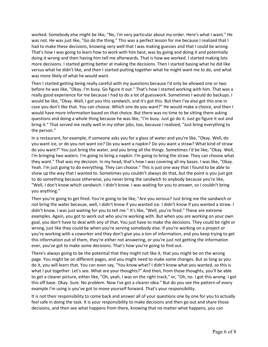worked. Somebody else might be like, "No, I'm very particular about my order. Here's what I want." He was not. He was just like, "Go do the thing." This was a perfect lesson for me because I realized that I had to make these decisions, knowing very well that I was making guesses and that I could be wrong. That's how I was going to learn how to work with him best, was by going and doing it and potentially doing it wrong and then having him tell me afterwards. That is how we worked. I started making lots more decisions. I started getting better at making the decisions. Then I started basing what he did like versus what he didn't like, and then I started putting together what he might want me to do, and what was more likely of what he would want.

Then I started getting being really careful with my questions because I'd only be allowed one or two before he was like, "Okay. I'm busy. Go figure it out." That's how I started working with him. That was a really good experience for me because I had to do a lot of guesswork. Sometimes I would do backups. I would be like, "Okay. Well, I got you this sandwich, and it's got this. But then I've also got this one in case you don't like that. You can choose. Which one do you want?" He would make a choice, and then I would have more information based on that choice. But there was no time to be sitting there asking questions and doing a whole thing because he was like, "I'm busy. Just go do it. Just go figure it out and bring it." That served me really well in my other jobs, too, because I realized, "Just bring everything to the person."

In a restaurant, for example, if someone asks you for a glass of water and you're like, "Okay. Well, do you want ice, or do you not want ice? Do you want a napkin? Do you want a straw? What kind of straw do you want?" You just bring the water, and you bring all the things. Sometimes I'd be like, "Okay. Well, I'm bringing two waters. I'm going to bring a napkin. I'm going to bring the straw. They can choose what they want." That was my decision. In my head, that's how I was covering all my bases. I was like, "Okay. Yeah. I'm just going to do everything. They can choose." This is just one way that I found to be able to show up the way that I wanted to. Sometimes you couldn't always do that, but the point is you just got to do something because otherwise, you never bring the sandwich to anybody because you're like, "Well, I don't know which sandwich. I didn't know. I was waiting for you to answer, so I couldn't bring you anything."

Then you're going to get fired. You're going to be like, "Are you serious? Just bring me the sandwich or not bring the water because, well, I didn't know if you wanted ice. I didn't know if you wanted a straw. I didn't know. I was just waiting for you to tell me." It's like, "Well, you're fired." These are extreme examples. Again, you got to work out who you're working with. But when you are working on your own goal, you don't have to deal with any of that. You just have to make the decisions. They could be right or wrong, just like they could be when you're serving somebody else. If you're working on a project or you're working with a coworker and they don't give you a ton of information, and you keep trying to get this information out of them, they're either not answering, or you're just not getting the information ever, you've got to make some decisions. That's how you're going to find out.

There's always going to be the potential that they might not like it, that you might be on the wrong page. You might be on different pages, and you might need to make some changes. But as long as you do it, you will learn that. You can even say, "You know what? I didn't know what you wanted, so this is what I put together. Let's see. What are your thoughts?" And then, from those thoughts, you'll be able to get a clearer picture, either like, "Oh, yeah, I was on the right track," or, "Oh, no. I got this wrong. I got this off base. Okay. Sure. No problem. Now I've got a clearer idea." But do you see the pattern of every example I'm using is you've got to move yourself forward. That's your responsibility.

It is not their responsibility to come back and answer all of your questions one by one for you to actually feel safe in doing the task. It is your responsibility to make decisions and then go out and share those decisions, and then see what happens from there, knowing that no matter what happens, you can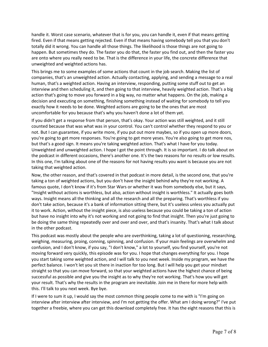handle it. Worst case scenario, whatever that is for you, you can handle it, even if that means getting fired. Even if that means getting rejected. Even if that means having somebody tell you that you don't totally did it wrong. You can handle all those things. The likelihood is those things are not going to happen. But sometimes they do. The faster you do that, the faster you find out, and then the faster you are onto where you really need to be. That is the difference in your life, the concrete difference that unweighted and weighted actions has.

This brings me to some examples of some actions that count in the job search. Making the list of companies, that's an unweighted action. Actually contacting, applying, and sending a message to a real human, that's a weighted action. Having an interview, responding, putting some stuff out to get an interview and then scheduling it, and then going to that interview, heavily weighted action. That's a big action that's going to move you forward in a big way, no matter what happens. On the job, making a decision and executing on something, finishing something instead of waiting for somebody to tell you exactly how it needs to be done. Weighted actions are going to be the ones that are most uncomfortable for you because that's why you haven't done a lot of them yet.

If you didn't get a response from that person, that's okay. Your action was still weighted, and it still counted because that was what was in your control. You can't control whether they respond to you or not. But I can guarantee, if you write more, if you put out more maybes, so if you open up more doors, you're going to get more responses. You're going to get more yeses. You're also going to get more nos, but that's a good sign. It means you're taking weighted action. That's what I have for you today. Unweighted and unweighted action. I hope I got the point through. It is so important. I do talk about on the podcast in different occasions, there's another one. It's the two reasons for no results or low results. In this one, I'm talking about one of the reasons for not having results you want is because you are not taking that weighted action.

Now, the other reason, and that's covered in that podcast in more detail, is the second one, that you're taking a ton of weighted actions, but you don't have the insight behind why they're not working. A famous quote, I don't know if it's from Star Wars or whether it was from somebody else, but it says, "Insight without actions is worthless, but also, action without insight is worthless." It actually goes both ways. Insight means all the thinking and all the research and all the preparing. That's worthless if you don't take action, because it's a bank of information sitting there, but it's useless unless you actually put it to work. Action, without the insight piece, is also useless because you could be taking a ton of action but have no insight into why it's not working and not going to find that insight. Then you're just going to be doing the same thing repeatedly over and over and over, and that's insanity. That's what I talk about in the other podcast.

This podcast was mostly about the people who are overthinking, taking a lot of questioning, researching, weighing, measuring, proing, conning, spinning, and confusion. If your main feelings are overwhelm and confusion, and I don't know, if you say, "I don't know," a lot to yourself, you find yourself, you're not moving forward very quickly, this episode was for you. I hope that changes everything for you. I hope you start taking some weighted action, and I will talk to you next week. Inside my program, we have the perfect balance. I won't let you sit there in inaction for too long. But I will help you get your mindset straight so that you can move forward, so that your weighted actions have the highest chance of being successful as possible and give you the insight as to why they're not working. That's how you will get your result. That's why the results in the program are inevitable. Join me in there for more help with this. I'll talk to you next week. Bye bye.

If I were to sum it up, I would say the most common thing people come to me with is "I'm going on interview after interview after interview, and I'm not getting the offer. What am I doing wrong?" I've put together a freebie, where you can get this download completely free. It has the eight reasons that this is